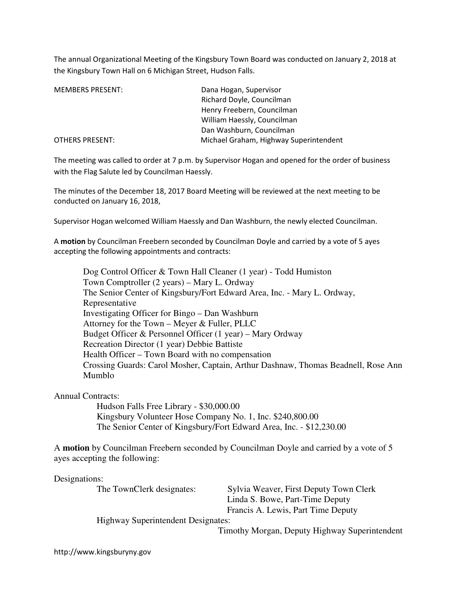The annual Organizational Meeting of the Kingsbury Town Board was conducted on January 2, 2018 at the Kingsbury Town Hall on 6 Michigan Street, Hudson Falls.

| <b>MEMBERS PRESENT:</b> | Dana Hogan, Supervisor                 |
|-------------------------|----------------------------------------|
|                         | Richard Doyle, Councilman              |
|                         | Henry Freebern, Councilman             |
|                         | William Haessly, Councilman            |
|                         | Dan Washburn, Councilman               |
| <b>OTHERS PRESENT:</b>  | Michael Graham, Highway Superintendent |

The meeting was called to order at 7 p.m. by Supervisor Hogan and opened for the order of business with the Flag Salute led by Councilman Haessly.

The minutes of the December 18, 2017 Board Meeting will be reviewed at the next meeting to be conducted on January 16, 2018,

Supervisor Hogan welcomed William Haessly and Dan Washburn, the newly elected Councilman.

A motion by Councilman Freebern seconded by Councilman Doyle and carried by a vote of 5 ayes accepting the following appointments and contracts:

 Dog Control Officer & Town Hall Cleaner (1 year) - Todd Humiston Town Comptroller (2 years) – Mary L. Ordway The Senior Center of Kingsbury/Fort Edward Area, Inc. - Mary L. Ordway, Representative Investigating Officer for Bingo – Dan Washburn Attorney for the Town – Meyer & Fuller, PLLC Budget Officer & Personnel Officer (1 year) – Mary Ordway Recreation Director (1 year) Debbie Battiste Health Officer – Town Board with no compensation Crossing Guards: Carol Mosher, Captain, Arthur Dashnaw, Thomas Beadnell, Rose Ann Mumblo

#### Annual Contracts:

Hudson Falls Free Library - \$30,000.00 Kingsbury Volunteer Hose Company No. 1, Inc. \$240,800.00 The Senior Center of Kingsbury/Fort Edward Area, Inc. - \$12,230.00

A **motion** by Councilman Freebern seconded by Councilman Doyle and carried by a vote of 5 ayes accepting the following:

Designations:

The TownClerk designates: Sylvia Weaver, First Deputy Town Clerk Linda S. Bowe, Part-Time Deputy Francis A. Lewis, Part Time Deputy

Highway Superintendent Designates:

Timothy Morgan, Deputy Highway Superintendent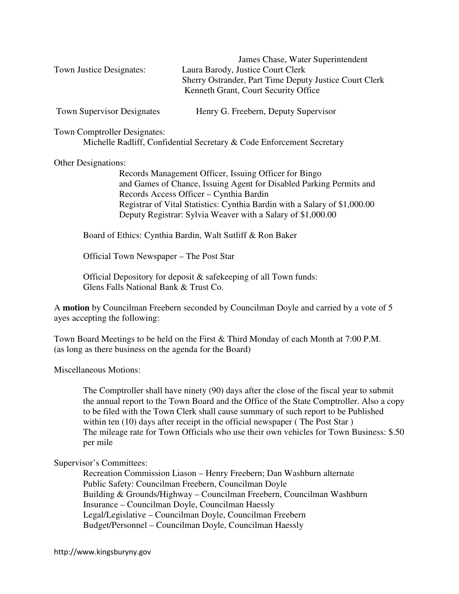James Chase, Water Superintendent Town Justice Designates: Laura Barody, Justice Court Clerk Sherry Ostrander, Part Time Deputy Justice Court Clerk Kenneth Grant, Court Security Office

Town Supervisor Designates Henry G. Freebern, Deputy Supervisor

Town Comptroller Designates:

Michelle Radliff, Confidential Secretary & Code Enforcement Secretary

#### Other Designations:

 Records Management Officer, Issuing Officer for Bingo and Games of Chance, Issuing Agent for Disabled Parking Permits and Records Access Officer – Cynthia Bardin Registrar of Vital Statistics: Cynthia Bardin with a Salary of \$1,000.00 Deputy Registrar: Sylvia Weaver with a Salary of \$1,000.00

Board of Ethics: Cynthia Bardin, Walt Sutliff & Ron Baker

Official Town Newspaper – The Post Star

Official Depository for deposit & safekeeping of all Town funds: Glens Falls National Bank & Trust Co.

A **motion** by Councilman Freebern seconded by Councilman Doyle and carried by a vote of 5 ayes accepting the following:

Town Board Meetings to be held on the First & Third Monday of each Month at 7:00 P.M. (as long as there business on the agenda for the Board)

Miscellaneous Motions:

The Comptroller shall have ninety (90) days after the close of the fiscal year to submit the annual report to the Town Board and the Office of the State Comptroller. Also a copy to be filed with the Town Clerk shall cause summary of such report to be Published within ten (10) days after receipt in the official newspaper (The Post Star) The mileage rate for Town Officials who use their own vehicles for Town Business: \$.50 per mile

## Supervisor's Committees:

 Recreation Commission Liason – Henry Freebern; Dan Washburn alternate Public Safety: Councilman Freebern, Councilman Doyle Building & Grounds/Highway – Councilman Freebern, Councilman Washburn Insurance – Councilman Doyle, Councilman Haessly Legal/Legislative – Councilman Doyle, Councilman Freebern Budget/Personnel – Councilman Doyle, Councilman Haessly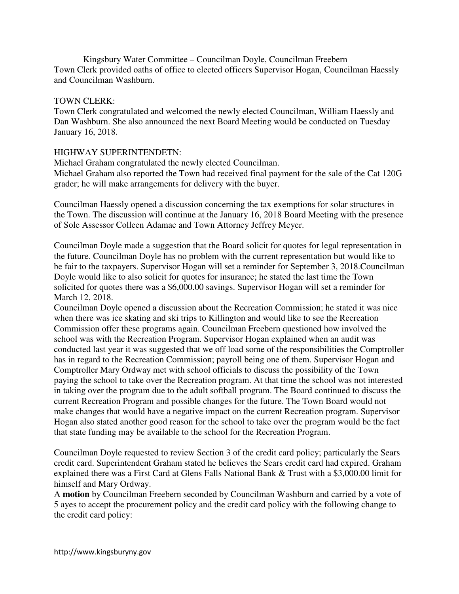Kingsbury Water Committee – Councilman Doyle, Councilman Freebern Town Clerk provided oaths of office to elected officers Supervisor Hogan, Councilman Haessly and Councilman Washburn.

# TOWN CLERK:

Town Clerk congratulated and welcomed the newly elected Councilman, William Haessly and Dan Washburn. She also announced the next Board Meeting would be conducted on Tuesday January 16, 2018.

# HIGHWAY SUPERINTENDETN:

Michael Graham congratulated the newly elected Councilman.

Michael Graham also reported the Town had received final payment for the sale of the Cat 120G grader; he will make arrangements for delivery with the buyer.

Councilman Haessly opened a discussion concerning the tax exemptions for solar structures in the Town. The discussion will continue at the January 16, 2018 Board Meeting with the presence of Sole Assessor Colleen Adamac and Town Attorney Jeffrey Meyer.

Councilman Doyle made a suggestion that the Board solicit for quotes for legal representation in the future. Councilman Doyle has no problem with the current representation but would like to be fair to the taxpayers. Supervisor Hogan will set a reminder for September 3, 2018.Councilman Doyle would like to also solicit for quotes for insurance; he stated the last time the Town solicited for quotes there was a \$6,000.00 savings. Supervisor Hogan will set a reminder for March 12, 2018.

Councilman Doyle opened a discussion about the Recreation Commission; he stated it was nice when there was ice skating and ski trips to Killington and would like to see the Recreation Commission offer these programs again. Councilman Freebern questioned how involved the school was with the Recreation Program. Supervisor Hogan explained when an audit was conducted last year it was suggested that we off load some of the responsibilities the Comptroller has in regard to the Recreation Commission; payroll being one of them. Supervisor Hogan and Comptroller Mary Ordway met with school officials to discuss the possibility of the Town paying the school to take over the Recreation program. At that time the school was not interested in taking over the program due to the adult softball program. The Board continued to discuss the current Recreation Program and possible changes for the future. The Town Board would not make changes that would have a negative impact on the current Recreation program. Supervisor Hogan also stated another good reason for the school to take over the program would be the fact that state funding may be available to the school for the Recreation Program.

Councilman Doyle requested to review Section 3 of the credit card policy; particularly the Sears credit card. Superintendent Graham stated he believes the Sears credit card had expired. Graham explained there was a First Card at Glens Falls National Bank & Trust with a \$3,000.00 limit for himself and Mary Ordway.

A **motion** by Councilman Freebern seconded by Councilman Washburn and carried by a vote of 5 ayes to accept the procurement policy and the credit card policy with the following change to the credit card policy: